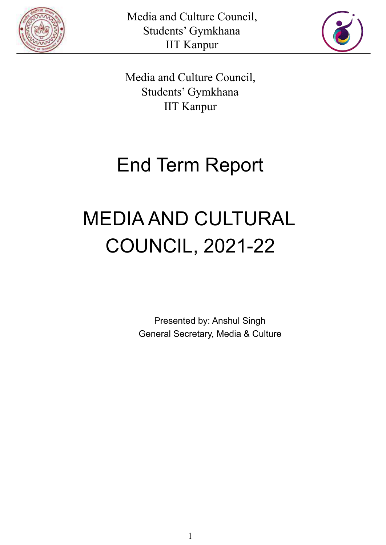



Media and Culture Council, Students' Gymkhana IIT Kanpur

# End Term Report

# MEDIA AND CULTURAL COUNCIL, 2021-22

Presented by: Anshul Singh General Secretary, Media & Culture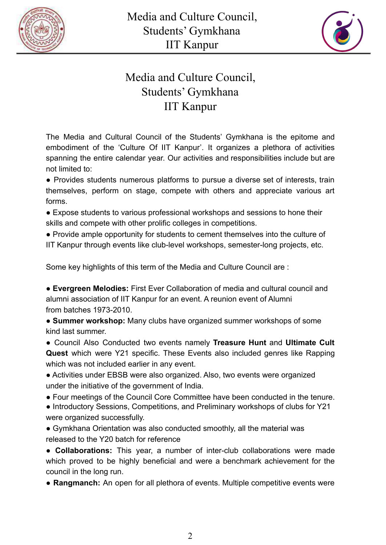



## Media and Culture Council, Students' Gymkhana IIT Kanpur

The Media and Cultural Council of the Students' Gymkhana is the epitome and embodiment of the 'Culture Of IIT Kanpur'. It organizes a plethora of activities spanning the entire calendar year. Our activities and responsibilities include but are not limited to:

● Provides students numerous platforms to pursue a diverse set of interests, train themselves, perform on stage, compete with others and appreciate various art forms.

● Expose students to various professional workshops and sessions to hone their skills and compete with other prolific colleges in competitions.

● Provide ample opportunity for students to cement themselves into the culture of IIT Kanpur through events like club-level workshops, semester-long projects, etc.

Some key highlights of this term of the Media and Culture Council are :

● **Evergreen Melodies:** First Ever Collaboration of media and cultural council and alumni association of IIT Kanpur for an event. A reunion event of Alumni from batches 1973-2010.

● **Summer workshop:** Many clubs have organized summer workshops of some kind last summer.

● Council Also Conducted two events namely **Treasure Hunt** and **Ultimate Cult Quest** which were Y21 specific. These Events also included genres like Rapping which was not included earlier in any event.

● Activities under EBSB were also organized. Also, two events were organized under the initiative of the government of India.

● Four meetings of the Council Core Committee have been conducted in the tenure.

● Introductory Sessions, Competitions, and Preliminary workshops of clubs for Y21 were organized successfully.

• Gymkhana Orientation was also conducted smoothly, all the material was released to the Y20 batch for reference

**● Collaborations:** This year, a number of inter-club collaborations were made which proved to be highly beneficial and were a benchmark achievement for the council in the long run.

● **Rangmanch:** An open for all plethora of events. Multiple competitive events were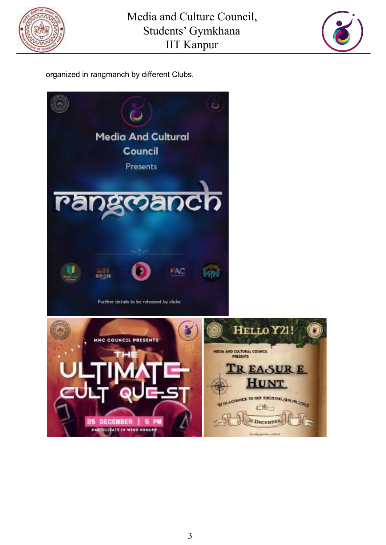



organized in rangmanch by different Clubs.

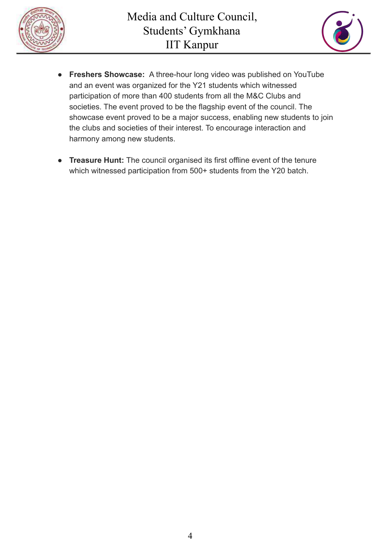



- **● Freshers Showcase:** A three-hour long video was published on YouTube and an event was organized for the Y21 students which witnessed participation of more than 400 students from all the M&C Clubs and societies. The event proved to be the flagship event of the council. The showcase event proved to be a major success, enabling new students to join the clubs and societies of their interest. To encourage interaction and harmony among new students.
- **● Treasure Hunt:** The council organised its first offline event of the tenure which witnessed participation from 500+ students from the Y20 batch.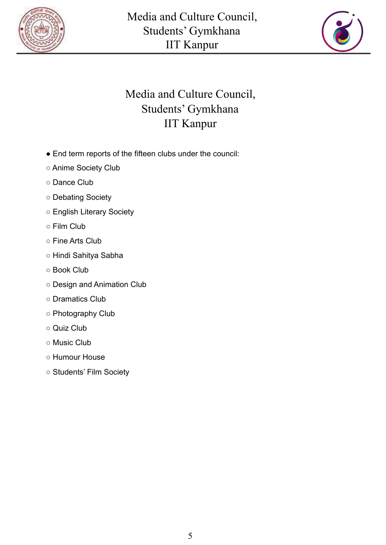



## Media and Culture Council, Students' Gymkhana IIT Kanpur

- End term reports of the fifteen clubs under the council:
- Anime Society Club
- Dance Club
- Debating Society
- English Literary Society
- Film Club
- Fine Arts Club
- Hindi Sahitya Sabha
- Book Club
- Design and Animation Club
- Dramatics Club
- Photography Club
- Quiz Club
- Music Club
- Humour House
- Students' Film Society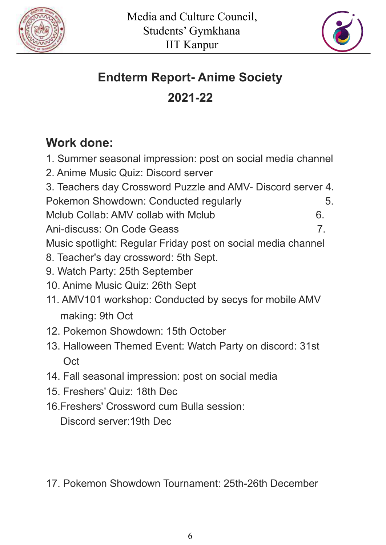



# **Endterm Report- Anime Society**

# **2021-22**

# **Work done:**

- 1. Summer seasonal impression: post on social media channel
- 2. Anime Music Quiz: Discord server
- 3. Teachers day Crossword Puzzle and AMV- Discord server 4. Pokemon Showdown: Conducted regularly 6.
- Mclub Collab: AMV collab with Mclub 6.
- Ani-discuss: On Code Geass 7.

Music spotlight: Regular Friday post on social media channel

- 8. Teacher's day crossword: 5th Sept.
- 9. Watch Party: 25th September
- 10. Anime Music Quiz: 26th Sept
- 11. AMV101 workshop: Conducted by secys for mobile AMV making: 9th Oct
- 12. Pokemon Showdown: 15th October
- 13. Halloween Themed Event: Watch Party on discord: 31st **Oct**
- 14. Fall seasonal impression: post on social media
- 15. Freshers' Quiz: 18th Dec
- 16.Freshers' Crossword cum Bulla session:

Discord server:19th Dec

17. Pokemon Showdown Tournament: 25th-26th December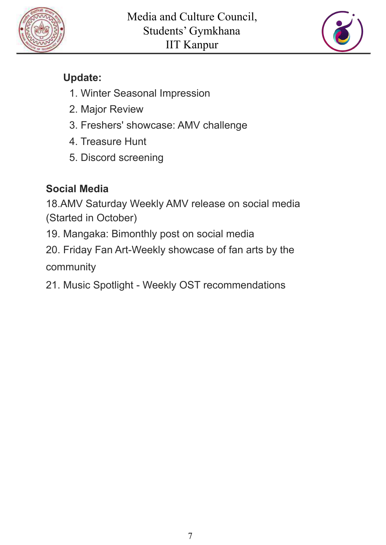



## **Update:**

- 1. Winter Seasonal Impression
- 2. Major Review
- 3. Freshers' showcase: AMV challenge
- 4. Treasure Hunt
- 5. Discord screening

# **Social Media**

18.AMV Saturday Weekly AMV release on social media (Started in October)

19. Mangaka: Bimonthly post on social media

20. Friday Fan Art-Weekly showcase of fan arts by the community

21. Music Spotlight - Weekly OST recommendations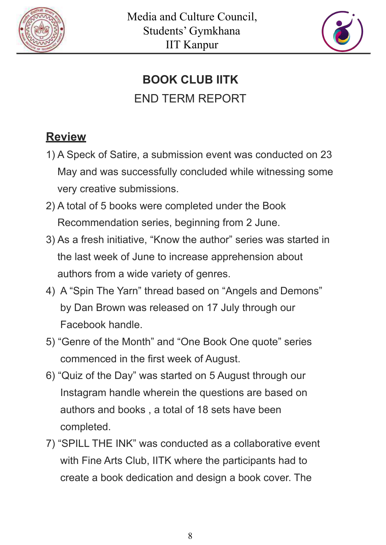



# **BOOK CLUB IITK** END TERM REPORT

# **Review**

- 1) A Speck of Satire, a submission event was conducted on 23 May and was successfully concluded while witnessing some very creative submissions.
- 2) A total of 5 books were completed under the Book Recommendation series, beginning from 2 June.
- 3) As a fresh initiative, "Know the author" series was started in the last week of June to increase apprehension about authors from a wide variety of genres.
- 4) A "Spin The Yarn" thread based on "Angels and Demons" by Dan Brown was released on 17 July through our Facebook handle.
- 5) "Genre of the Month" and "One Book One quote" series commenced in the first week of August.
- 6) "Quiz of the Day" was started on 5 August through our Instagram handle wherein the questions are based on authors and books , a total of 18 sets have been completed.
- 7) "SPILL THE INK" was conducted as a collaborative event with Fine Arts Club, IITK where the participants had to create a book dedication and design a book cover. The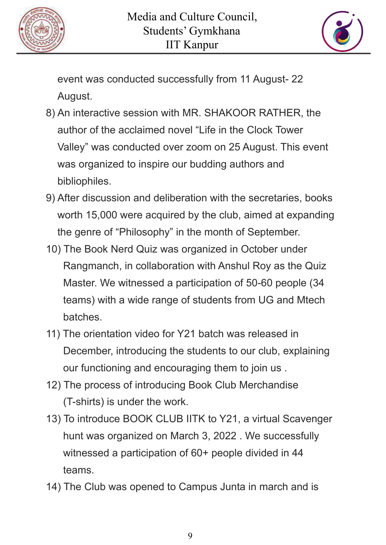



event was conducted successfully from 11 August- 22 August.

- 8) An interactive session with MR. SHAKOOR RATHER, the author of the acclaimed novel "Life in the Clock Tower Valley" was conducted over zoom on 25 August. This event was organized to inspire our budding authors and bibliophiles.
- 9) After discussion and deliberation with the secretaries, books worth 15,000 were acquired by the club, aimed at expanding the genre of "Philosophy" in the month of September.
- 10) The Book Nerd Quiz was organized in October under Rangmanch, in collaboration with Anshul Roy as the Quiz Master. We witnessed a participation of 50-60 people (34 teams) with a wide range of students from UG and Mtech batches.
- 11) The orientation video for Y21 batch was released in December, introducing the students to our club, explaining our functioning and encouraging them to join us .
- 12) The process of introducing Book Club Merchandise (T-shirts) is under the work.
- 13) To introduce BOOK CLUB IITK to Y21, a virtual Scavenger hunt was organized on March 3, 2022 . We successfully witnessed a participation of 60+ people divided in 44 teams.
- 14) The Club was opened to Campus Junta in march and is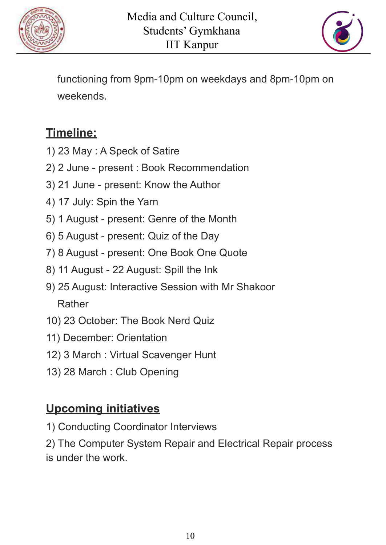



functioning from 9pm-10pm on weekdays and 8pm-10pm on weekends.

# **Timeline:**

- 1) 23 May : A Speck of Satire
- 2) 2 June present : Book Recommendation
- 3) 21 June present: Know the Author
- 4) 17 July: Spin the Yarn
- 5) 1 August present: Genre of the Month
- 6) 5 August present: Quiz of the Day
- 7) 8 August present: One Book One Quote
- 8) 11 August 22 August: Spill the Ink
- 9) 25 August: Interactive Session with Mr Shakoor Rather
- 10) 23 October: The Book Nerd Quiz
- 11) December: Orientation
- 12) 3 March : Virtual Scavenger Hunt
- 13) 28 March : Club Opening

# **Upcoming initiatives**

1) Conducting Coordinator Interviews

2) The Computer System Repair and Electrical Repair process is under the work.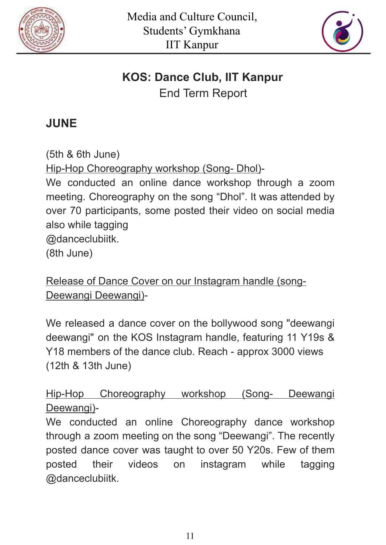



# **KOS: Dance Club, IIT Kanpur**

End Term Report

# **JUNE**

(5th & 6th June) Hip-Hop Choreography workshop (Song- Dhol)- We conducted an online dance workshop through a zoom meeting. Choreography on the song "Dhol". It was attended by over 70 participants, some posted their video on social media also while tagging @danceclubiitk. (8th June)

Release of Dance Cover on our Instagram handle (song-Deewangi Deewangi)-

We released a dance cover on the bollywood song "deewangi deewangi" on the KOS Instagram handle, featuring 11 Y19s & Y18 members of the dance club. Reach - approx 3000 views (12th & 13th June)

Hip-Hop Choreography workshop (Song- Deewangi Deewangi)-

We conducted an online Choreography dance workshop through a zoom meeting on the song "Deewangi". The recently posted dance cover was taught to over 50 Y20s. Few of them posted their videos on instagram while tagging @danceclubiitk.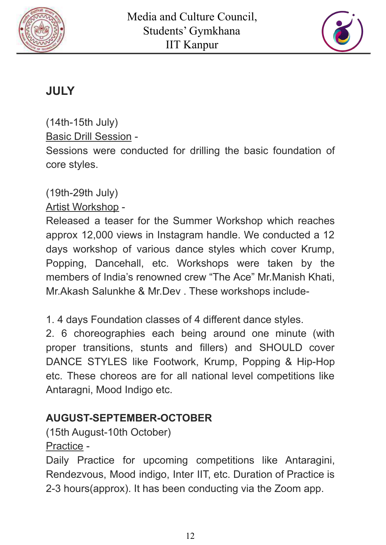



# **JULY**

(14th-15th July) Basic Drill Session - Sessions were conducted for drilling the basic foundation of core styles.

(19th-29th July)

Artist Workshop -

Released a teaser for the Summer Workshop which reaches approx 12,000 views in Instagram handle. We conducted a 12 days workshop of various dance styles which cover Krump, Popping, Dancehall, etc. Workshops were taken by the members of India's renowned crew "The Ace" Mr.Manish Khati, Mr.Akash Salunkhe & Mr.Dev . These workshops include-

1. 4 days Foundation classes of 4 different dance styles.

2. 6 choreographies each being around one minute (with proper transitions, stunts and fillers) and SHOULD cover DANCE STYLES like Footwork, Krump, Popping & Hip-Hop etc. These choreos are for all national level competitions like Antaragni, Mood Indigo etc.

## **AUGUST-SEPTEMBER-OCTOBER**

(15th August-10th October) Practice -

Daily Practice for upcoming competitions like Antaragini, Rendezvous, Mood indigo, Inter IIT, etc. Duration of Practice is 2-3 hours(approx). It has been conducting via the Zoom app.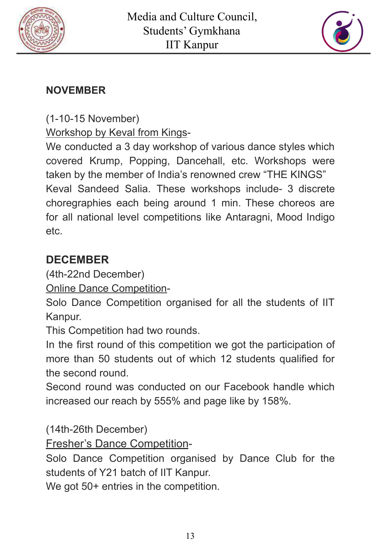



## **NOVEMBER**

(1-10-15 November)

Workshop by Keval from Kings-

We conducted a 3 day workshop of various dance styles which covered Krump, Popping, Dancehall, etc. Workshops were taken by the member of India's renowned crew "THE KINGS" Keval Sandeed Salia. These workshops include- 3 discrete choregraphies each being around 1 min. These choreos are for all national level competitions like Antaragni, Mood Indigo etc.

# **DECEMBER**

(4th-22nd December)

Online Dance Competition-

Solo Dance Competition organised for all the students of IIT Kanpur.

This Competition had two rounds.

In the first round of this competition we got the participation of more than 50 students out of which 12 students qualified for the second round.

Second round was conducted on our Facebook handle which increased our reach by 555% and page like by 158%.

(14th-26th December)

Fresher's Dance Competition-

Solo Dance Competition organised by Dance Club for the students of Y21 batch of IIT Kanpur.

We got 50+ entries in the competition.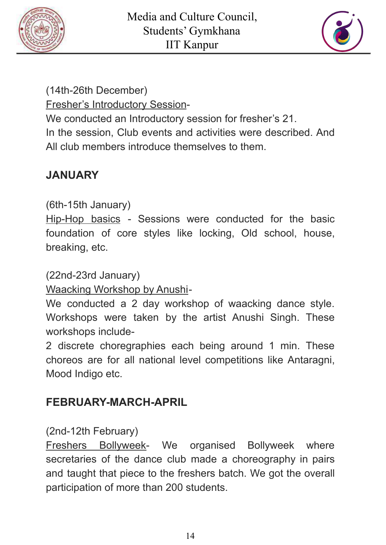



(14th-26th December)

Fresher's Introductory Session-

We conducted an Introductory session for fresher's 21.

In the session, Club events and activities were described. And All club members introduce themselves to them.

# **JANUARY**

(6th-15th January)

Hip-Hop basics - Sessions were conducted for the basic foundation of core styles like locking, Old school, house, breaking, etc.

(22nd-23rd January)

Waacking Workshop by Anushi-

We conducted a 2 day workshop of waacking dance style. Workshops were taken by the artist Anushi Singh. These workshops include-

2 discrete choregraphies each being around 1 min. These choreos are for all national level competitions like Antaragni, Mood Indigo etc.

# **FEBRUARY-MARCH-APRIL**

(2nd-12th February)

Freshers Bollyweek- We organised Bollyweek where secretaries of the dance club made a choreography in pairs and taught that piece to the freshers batch. We got the overall participation of more than 200 students.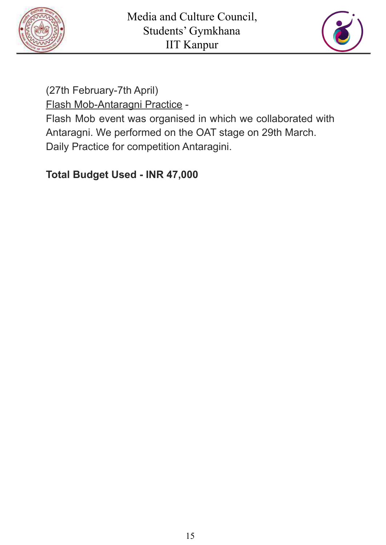



(27th February-7th April)

Flash Mob-Antaragni Practice -

Flash Mob event was organised in which we collaborated with Antaragni. We performed on the OAT stage on 29th March. Daily Practice for competition Antaragini.

### **Total Budget Used - INR 47,000**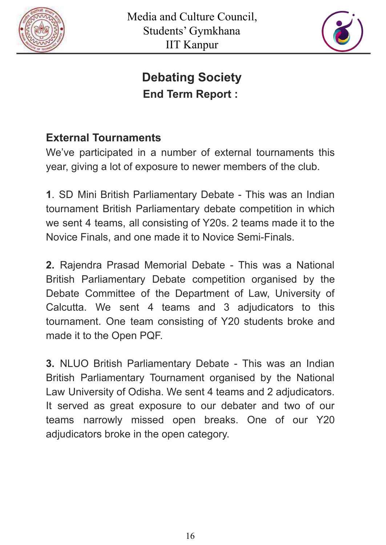



# **Debating Society End Term Report :**

## **External Tournaments**

We've participated in a number of external tournaments this year, giving a lot of exposure to newer members of the club.

**1**. SD Mini British Parliamentary Debate - This was an Indian tournament British Parliamentary debate competition in which we sent 4 teams, all consisting of Y20s. 2 teams made it to the Novice Finals, and one made it to Novice Semi-Finals.

**2.** Rajendra Prasad Memorial Debate - This was a National British Parliamentary Debate competition organised by the Debate Committee of the Department of Law, University of Calcutta. We sent 4 teams and 3 adjudicators to this tournament. One team consisting of Y20 students broke and made it to the Open PQF.

**3.** NLUO British Parliamentary Debate - This was an Indian British Parliamentary Tournament organised by the National Law University of Odisha. We sent 4 teams and 2 adjudicators. It served as great exposure to our debater and two of our teams narrowly missed open breaks. One of our Y20 adjudicators broke in the open category.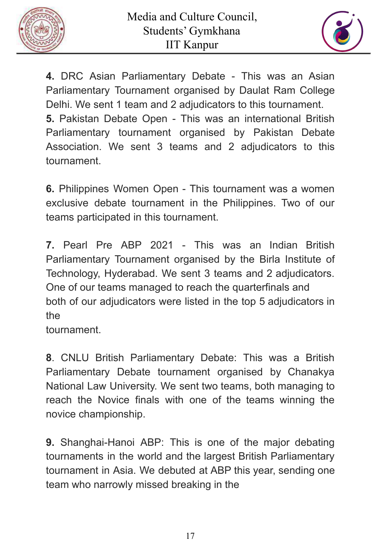



**4.** DRC Asian Parliamentary Debate - This was an Asian Parliamentary Tournament organised by Daulat Ram College Delhi. We sent 1 team and 2 adjudicators to this tournament. **5.** Pakistan Debate Open - This was an international British Parliamentary tournament organised by Pakistan Debate Association. We sent 3 teams and 2 adjudicators to this tournament.

**6.** Philippines Women Open - This tournament was a women exclusive debate tournament in the Philippines. Two of our teams participated in this tournament.

**7.** Pearl Pre ABP 2021 - This was an Indian British Parliamentary Tournament organised by the Birla Institute of Technology, Hyderabad. We sent 3 teams and 2 adjudicators. One of our teams managed to reach the quarterfinals and both of our adjudicators were listed in the top 5 adjudicators in the

tournament.

**8**. CNLU British Parliamentary Debate: This was a British Parliamentary Debate tournament organised by Chanakya National Law University. We sent two teams, both managing to reach the Novice finals with one of the teams winning the novice championship.

**9.** Shanghai-Hanoi ABP: This is one of the major debating tournaments in the world and the largest British Parliamentary tournament in Asia. We debuted at ABP this year, sending one team who narrowly missed breaking in the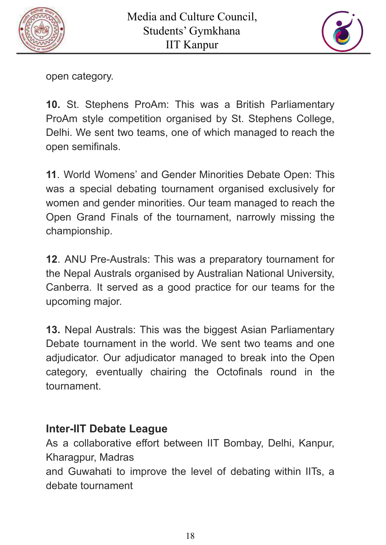



open category.

**10.** St. Stephens ProAm: This was a British Parliamentary ProAm style competition organised by St. Stephens College, Delhi. We sent two teams, one of which managed to reach the open semifinals.

**11**. World Womens' and Gender Minorities Debate Open: This was a special debating tournament organised exclusively for women and gender minorities. Our team managed to reach the Open Grand Finals of the tournament, narrowly missing the championship.

**12**. ANU Pre-Australs: This was a preparatory tournament for the Nepal Australs organised by Australian National University, Canberra. It served as a good practice for our teams for the upcoming major.

**13.** Nepal Australs: This was the biggest Asian Parliamentary Debate tournament in the world. We sent two teams and one adjudicator. Our adjudicator managed to break into the Open category, eventually chairing the Octofinals round in the tournament.

#### **Inter-IIT Debate League**

As a collaborative effort between IIT Bombay, Delhi, Kanpur, Kharagpur, Madras

and Guwahati to improve the level of debating within IITs, a debate tournament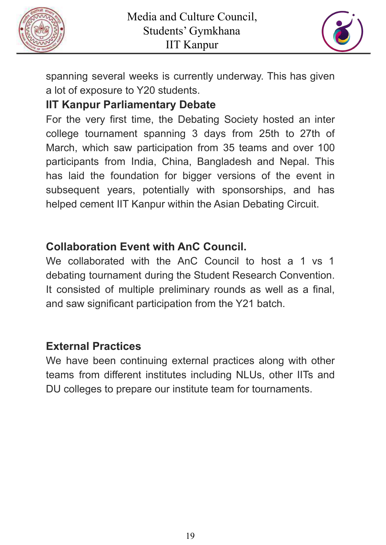



spanning several weeks is currently underway. This has given a lot of exposure to Y20 students.

## **IIT Kanpur Parliamentary Debate**

For the very first time, the Debating Society hosted an inter college tournament spanning 3 days from 25th to 27th of March, which saw participation from 35 teams and over 100 participants from India, China, Bangladesh and Nepal. This has laid the foundation for bigger versions of the event in subsequent years, potentially with sponsorships, and has helped cement IIT Kanpur within the Asian Debating Circuit.

## **Collaboration Event with AnC Council.**

We collaborated with the AnC Council to host a 1 vs 1 debating tournament during the Student Research Convention. It consisted of multiple preliminary rounds as well as a final, and saw significant participation from the Y21 batch.

## **External Practices**

We have been continuing external practices along with other teams from different institutes including NLUs, other IITs and DU colleges to prepare our institute team for tournaments.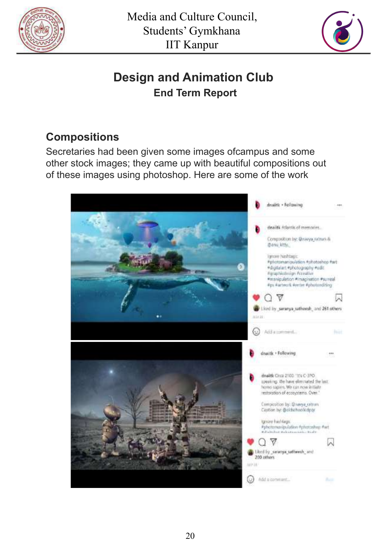



# **Design and Animation Club End Term Report**

## **Compositions**

Secretaries had been given some images ofcampus and some other stock images; they came up with beautiful compositions out of these images using photoshop. Here are some of the work

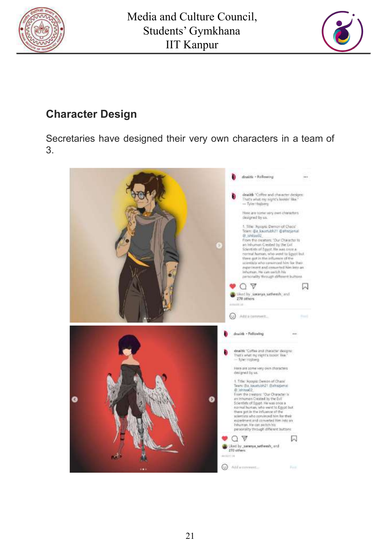



## **Character Design**

Secretaries have designed their very own characters in a team of 3.

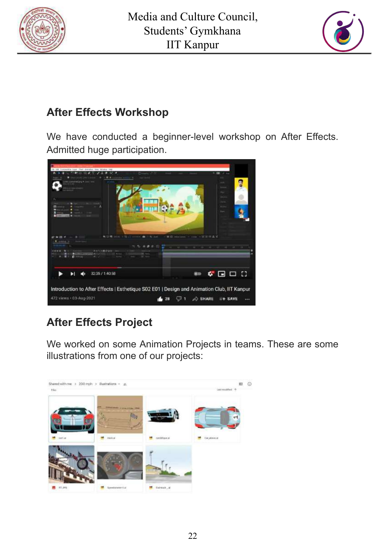



## **After Effects Workshop**

We have conducted a beginner-level workshop on After Effects. Admitted huge participation.



# **After Effects Project**

We worked on some Animation Projects in teams. These are some illustrations from one of our projects:

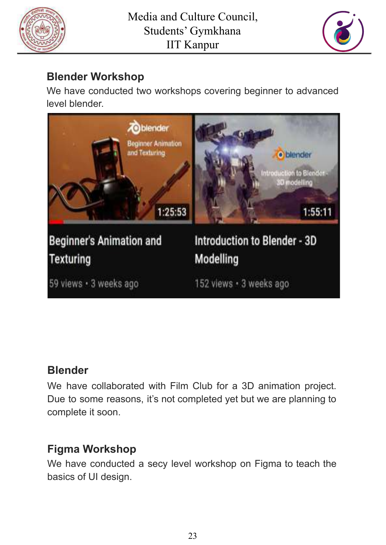



## **Blender Workshop**

We have conducted two workshops covering beginner to advanced level blender.



## **Blender**

We have collaborated with Film Club for a 3D animation project. Due to some reasons, it's not completed yet but we are planning to complete it soon.

## **Figma Workshop**

We have conducted a secy level workshop on Figma to teach the basics of UI design.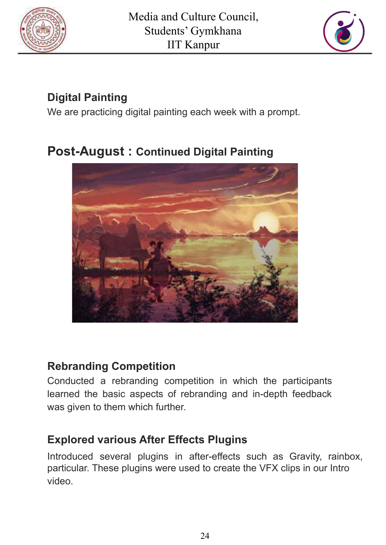



# **Digital Painting**

We are practicing digital painting each week with a prompt.

# **Post-August : Continued Digital Painting**



## **Rebranding Competition**

Conducted a rebranding competition in which the participants learned the basic aspects of rebranding and in-depth feedback was given to them which further.

## **Explored various After Effects Plugins**

Introduced several plugins in after-effects such as Gravity, rainbox, particular. These plugins were used to create the VFX clips in our Intro video.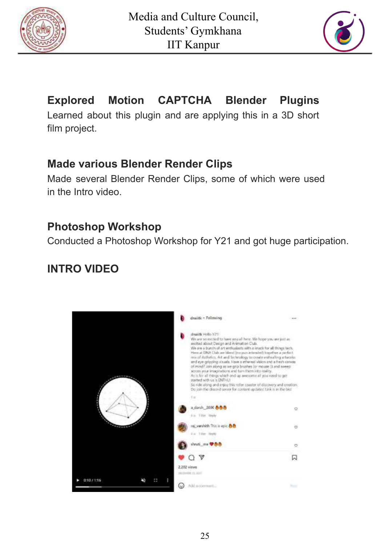



# **Explored Motion CAPTCHA Blender Plugins**

Learned about this plugin and are applying this in a 3D short film project.

#### **Made various Blender Render Clips**

Made several Blender Render Clips, some of which were used in the Intro video.

#### **Photoshop Workshop**

Conducted a Photoshop Workshop for Y21 and got huge participation.

## **INTRO VIDEO**

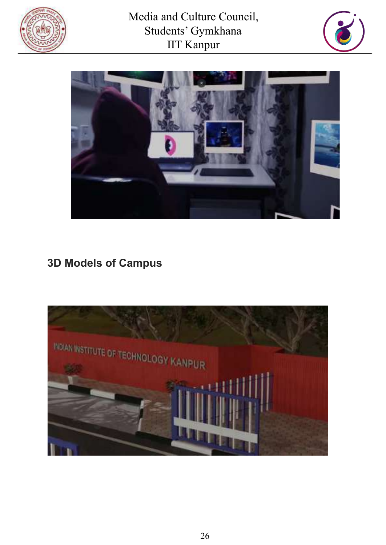





## **3D Models of Campus**

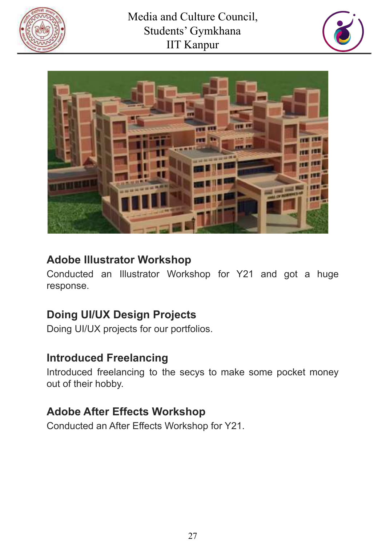





### **Adobe Illustrator Workshop**

Conducted an Illustrator Workshop for Y21 and got a huge response.

## **Doing UI/UX Design Projects**

Doing UI/UX projects for our portfolios.

#### **Introduced Freelancing**

Introduced freelancing to the secys to make some pocket money out of their hobby.

#### **Adobe After Effects Workshop**

Conducted an After Effects Workshop for Y21.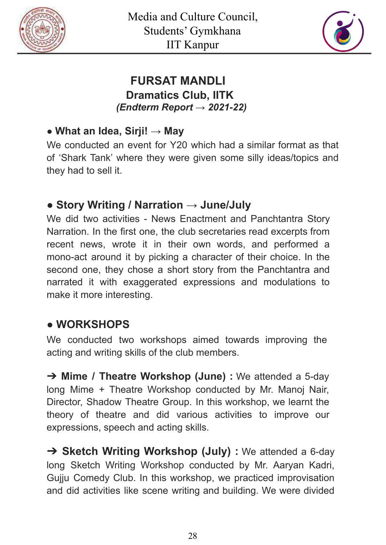



#### **FURSAT MANDLI Dramatics Club, IITK** *(Endterm Report → 2021-22)*

#### ● **What an Idea, Sirji! → May**

We conducted an event for Y20 which had a similar format as that of 'Shark Tank' where they were given some silly ideas/topics and they had to sell it.

## ● **Story Writing / Narration → June/July**

We did two activities - News Enactment and Panchtantra Story Narration. In the first one, the club secretaries read excerpts from recent news, wrote it in their own words, and performed a mono-act around it by picking a character of their choice. In the second one, they chose a short story from the Panchtantra and narrated it with exaggerated expressions and modulations to make it more interesting.

## ● **WORKSHOPS**

We conducted two workshops aimed towards improving the acting and writing skills of the club members.

➔ **Mime / Theatre Workshop (June) :** We attended a 5-day long Mime + Theatre Workshop conducted by Mr. Manoj Nair, Director, Shadow Theatre Group. In this workshop, we learnt the theory of theatre and did various activities to improve our expressions, speech and acting skills.

➔ **Sketch Writing Workshop (July) :** We attended a 6-day long Sketch Writing Workshop conducted by Mr. Aaryan Kadri, Gujju Comedy Club. In this workshop, we practiced improvisation and did activities like scene writing and building. We were divided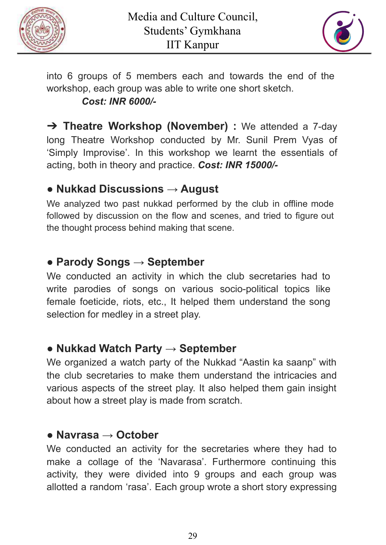



into 6 groups of 5 members each and towards the end of the workshop, each group was able to write one short sketch. *Cost: INR 6000/-*

➔ **Theatre Workshop (November) :** We attended a 7-day long Theatre Workshop conducted by Mr. Sunil Prem Vyas of 'Simply Improvise'. In this workshop we learnt the essentials of acting, both in theory and practice. *Cost: INR 15000/-*

#### **● Nukkad Discussions → August**

We analyzed two past nukkad performed by the club in offline mode followed by discussion on the flow and scenes, and tried to figure out the thought process behind making that scene.

## **● Parody Songs → September**

We conducted an activity in which the club secretaries had to write parodies of songs on various socio-political topics like female foeticide, riots, etc., It helped them understand the song selection for medley in a street play.

#### ● **Nukkad Watch Party → September**

We organized a watch party of the Nukkad "Aastin ka saanp" with the club secretaries to make them understand the intricacies and various aspects of the street play. It also helped them gain insight about how a street play is made from scratch.

#### **● Navrasa → October**

We conducted an activity for the secretaries where they had to make a collage of the 'Navarasa'. Furthermore continuing this activity, they were divided into 9 groups and each group was allotted a random 'rasa'. Each group wrote a short story expressing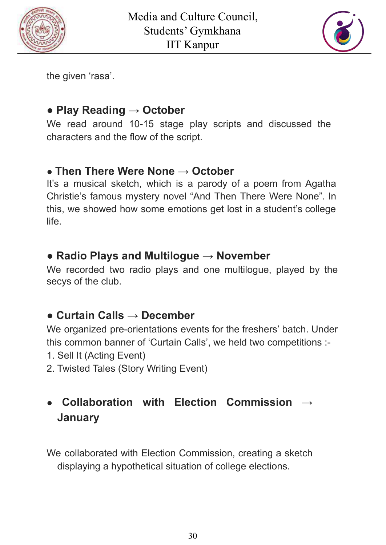



the given 'rasa'.

### **● Play Reading → October**

We read around 10-15 stage play scripts and discussed the characters and the flow of the script.

#### **● Then There Were None → October**

It's a musical sketch, which is a parody of a poem from Agatha Christie's famous mystery novel "And Then There Were None". In this, we showed how some emotions get lost in a student's college life.

### **● Radio Plays and Multilogue → November**

We recorded two radio plays and one multilogue, played by the secys of the club.

## **● Curtain Calls → December**

We organized pre-orientations events for the freshers' batch. Under this common banner of 'Curtain Calls', we held two competitions :-

- 1. Sell It (Acting Event)
- 2. Twisted Tales (Story Writing Event)

## **● Collaboration with Election Commission → January**

We collaborated with Election Commission, creating a sketch displaying a hypothetical situation of college elections.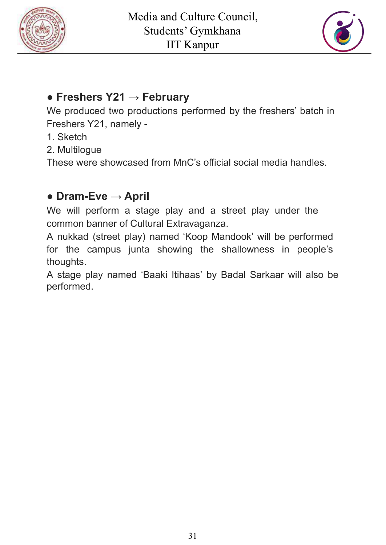



#### **● Freshers Y21 → February**

We produced two productions performed by the freshers' batch in Freshers Y21, namely -

- 1. Sketch
- 2. Multilogue

These were showcased from MnC's official social media handles.

## **● Dram-Eve → April**

We will perform a stage play and a street play under the common banner of Cultural Extravaganza.

A nukkad (street play) named 'Koop Mandook' will be performed for the campus junta showing the shallowness in people's thoughts.

A stage play named 'Baaki Itihaas' by Badal Sarkaar will also be performed.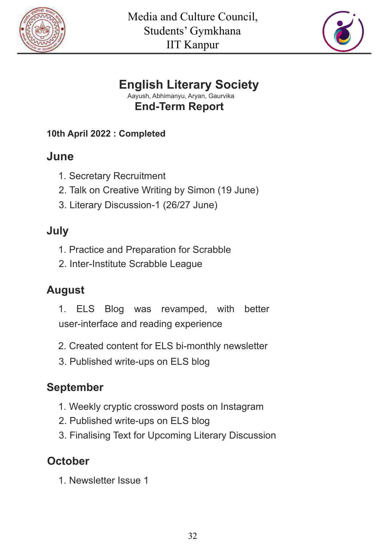



## **English Literary Society**

Aayush, Abhimanyu, Aryan, Gaurvika **End-Term Report**

**10th April 2022 : Completed**

# **June**

- 1. Secretary Recruitment
- 2. Talk on Creative Writing by Simon (19 June)
- 3. Literary Discussion-1 (26/27 June)

# **July**

- 1. Practice and Preparation for Scrabble
- 2. Inter-Institute Scrabble League

# **August**

- 1. ELS Blog was revamped, with better user-interface and reading experience
- 2. Created content for ELS bi-monthly newsletter
- 3. Published write-ups on ELS blog

# **September**

- 1. Weekly cryptic crossword posts on Instagram
- 2. Published write-ups on ELS blog
- 3. Finalising Text for Upcoming Literary Discussion

# **October**

1. Newsletter Issue 1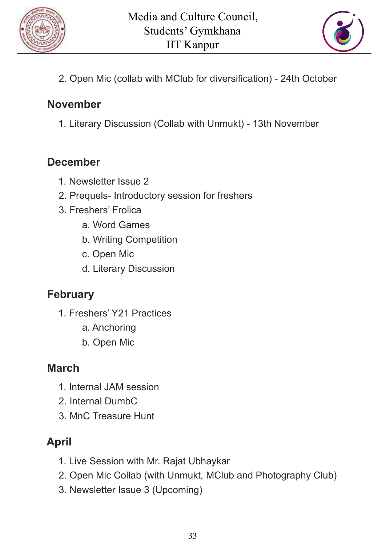



2. Open Mic (collab with MClub for diversification) - 24th October

#### **November**

1. Literary Discussion (Collab with Unmukt) - 13th November

### **December**

- 1. Newsletter Issue 2
- 2. Prequels- Introductory session for freshers
- 3. Freshers' Frolica
	- a. Word Games
	- b. Writing Competition
	- c. Open Mic
	- d. Literary Discussion

## **February**

- 1. Freshers' Y21 Practices
	- a. Anchoring
	- b. Open Mic

## **March**

- 1. Internal JAM session
- 2. Internal DumbC
- 3. MnC Treasure Hunt

# **April**

- 1. Live Session with Mr. Rajat Ubhaykar
- 2. Open Mic Collab (with Unmukt, MClub and Photography Club)
- 3. Newsletter Issue 3 (Upcoming)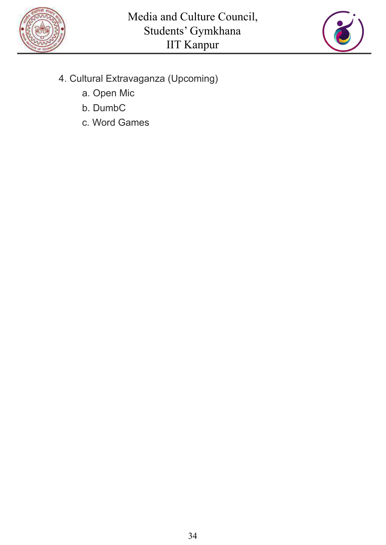



- 4. Cultural Extravaganza (Upcoming)
	- a. Open Mic
	- b. DumbC
	- c. Word Games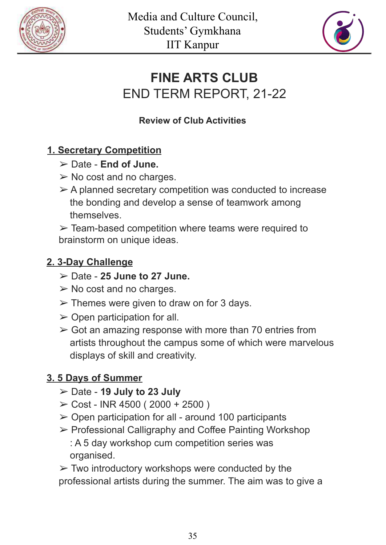



# **FINE ARTS CLUB** END TERM REPORT, 21-22

#### **Review of Club Activities**

### **1. Secretary Competition**

- ➢ Date **End of June.**
- $\triangleright$  No cost and no charges.
- $\triangleright$  A planned secretary competition was conducted to increase the bonding and develop a sense of teamwork among themselves.

 $\triangleright$  Team-based competition where teams were required to brainstorm on unique ideas.

#### **2. 3-Day Challenge**

- ➢ Date **25 June to 27 June.**
- $\triangleright$  No cost and no charges.
- $\triangleright$  Themes were given to draw on for 3 days.
- $\triangleright$  Open participation for all.
- $\geq$  Got an amazing response with more than 70 entries from artists throughout the campus some of which were marvelous displays of skill and creativity.

#### **3. 5 Days of Summer**

- ➢ Date **19 July to 23 July**
- $\geq$  Cost INR 4500 (2000 + 2500)
- $\geq$  Open participation for all around 100 participants
- ➢ Professional Calligraphy and Coffee Painting Workshop : A 5 day workshop cum competition series was organised.

 $\triangleright$  Two introductory workshops were conducted by the professional artists during the summer. The aim was to give a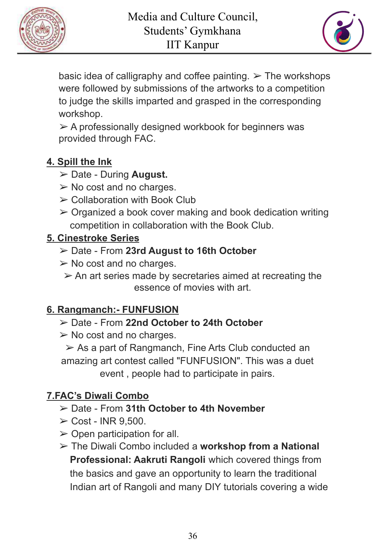



basic idea of calligraphy and coffee painting.  $\triangleright$  The workshops were followed by submissions of the artworks to a competition to judge the skills imparted and grasped in the corresponding workshop.

 $\triangleright$  A professionally designed workbook for beginners was provided through FAC.

#### **4. Spill the Ink**

- ➢ Date During **August.**
- $\triangleright$  No cost and no charges.
- $\geq$  Collaboration with Book Club
- $\triangleright$  Organized a book cover making and book dedication writing competition in collaboration with the Book Club.

### **5. Cinestroke Series**

- ➢ Date From **23rd August to 16th October**
- $\triangleright$  No cost and no charges.
	- $\triangleright$  An art series made by secretaries aimed at recreating the essence of movies with art.

## **6. Rangmanch:- FUNFUSION**

- ➢ Date From **22nd October to 24th October**
- $\triangleright$  No cost and no charges.

➢ As a part of Rangmanch, Fine Arts Club conducted an amazing art contest called "FUNFUSION". This was a duet event , people had to participate in pairs.

## **7.FAC's Diwali Combo**

- ➢ Date From **31th October to 4th November**
- $\geq$  Cost INR 9,500.
- $\triangleright$  Open participation for all.
- ➢ The Diwali Combo included a **workshop from a National Professional: Aakruti Rangoli** which covered things from the basics and gave an opportunity to learn the traditional Indian art of Rangoli and many DIY tutorials covering a wide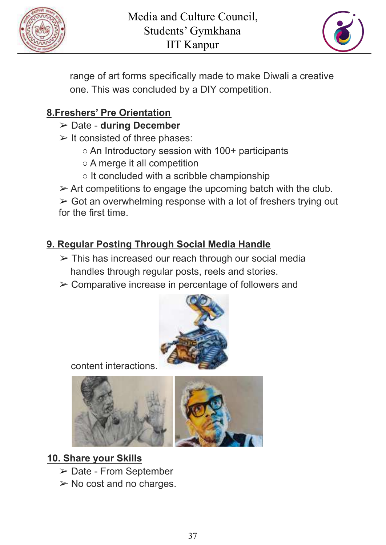



range of art forms specifically made to make Diwali a creative one. This was concluded by a DIY competition.

#### **8.Freshers' Pre Orientation**

- ➢ Date **during December**
- $\triangleright$  It consisted of three phases:
	- An Introductory session with 100+ participants
	- A merge it all competition
	- $\circ$  It concluded with a scribble championship
- $\triangleright$  Art competitions to engage the upcoming batch with the club.

 $\triangleright$  Got an overwhelming response with a lot of freshers trying out for the first time.

#### **9. Regular Posting Through Social Media Handle**

- $\geq$  This has increased our reach through our social media handles through regular posts, reels and stories.
- ➢ Comparative increase in percentage of followers and



content interactions.



#### **10. Share your Skills**

- ➢ Date From September
- $\triangleright$  No cost and no charges.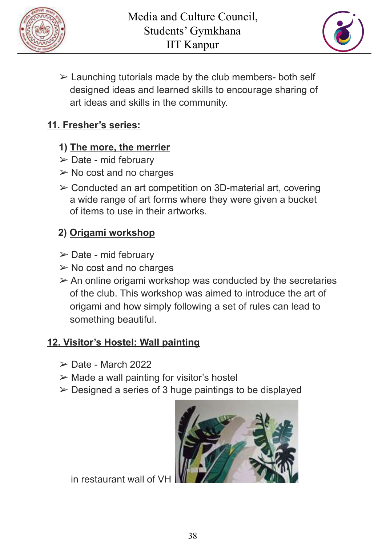



 $\triangleright$  Launching tutorials made by the club members- both self designed ideas and learned skills to encourage sharing of art ideas and skills in the community.

#### **11. Fresher's series:**

#### **1) The more, the merrier**

- $\triangleright$  Date mid february
- $\triangleright$  No cost and no charges
- ➢ Conducted an art competition on 3D-material art, covering a wide range of art forms where they were given a bucket of items to use in their artworks.

### **2) Origami workshop**

- $\triangleright$  Date mid february
- $\triangleright$  No cost and no charges
- $\geq$  An online origami workshop was conducted by the secretaries of the club. This workshop was aimed to introduce the art of origami and how simply following a set of rules can lead to something beautiful.

#### **12. Visitor's Hostel: Wall painting**

- $\triangleright$  Date March 2022
- $\triangleright$  Made a wall painting for visitor's hostel
- $\triangleright$  Designed a series of 3 huge paintings to be displayed



in restaurant wall of  $V$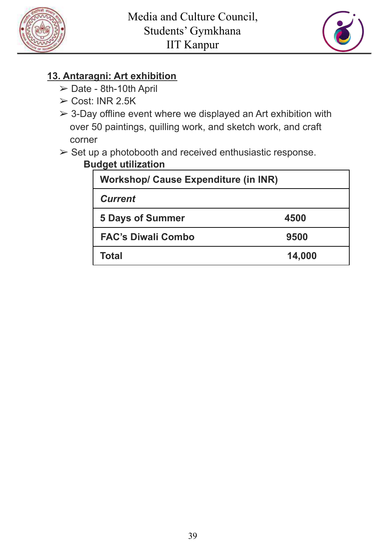



#### **13. Antaragni: Art exhibition**

- ➢ Date 8th-10th April
- ➢ Cost: INR 2.5K
- $\geq$  3-Day offline event where we displayed an Art exhibition with over 50 paintings, quilling work, and sketch work, and craft corner

## ➢ Set up a photobooth and received enthusiastic response.

#### **Budget utilization**

| <b>Workshop/ Cause Expenditure (in INR)</b> |        |
|---------------------------------------------|--------|
| <b>Current</b>                              |        |
| <b>5 Days of Summer</b>                     | 4500   |
| <b>FAC's Diwali Combo</b>                   | 9500   |
| Total                                       | 14,000 |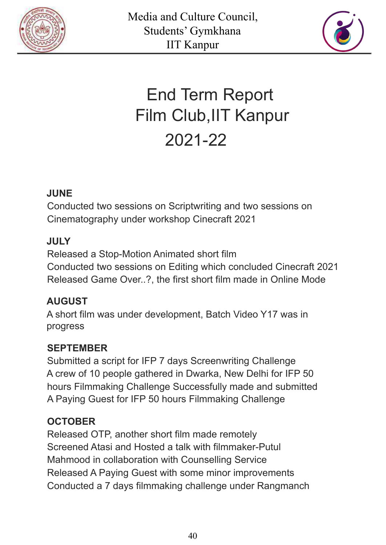



# End Term Report Film Club,IIT Kanpur 2021-22

#### **JUNE**

Conducted two sessions on Scriptwriting and two sessions on Cinematography under workshop Cinecraft 2021

#### **JULY**

Released a Stop-Motion Animated short film Conducted two sessions on Editing which concluded Cinecraft 2021 Released Game Over..?, the first short film made in Online Mode

#### **AUGUST**

A short film was under development, Batch Video Y17 was in progress

#### **SEPTEMBER**

Submitted a script for IFP 7 days Screenwriting Challenge A crew of 10 people gathered in Dwarka, New Delhi for IFP 50 hours Filmmaking Challenge Successfully made and submitted A Paying Guest for IFP 50 hours Filmmaking Challenge

#### **OCTOBER**

Released OTP, another short film made remotely Screened Atasi and Hosted a talk with filmmaker-Putul Mahmood in collaboration with Counselling Service Released A Paying Guest with some minor improvements Conducted a 7 days filmmaking challenge under Rangmanch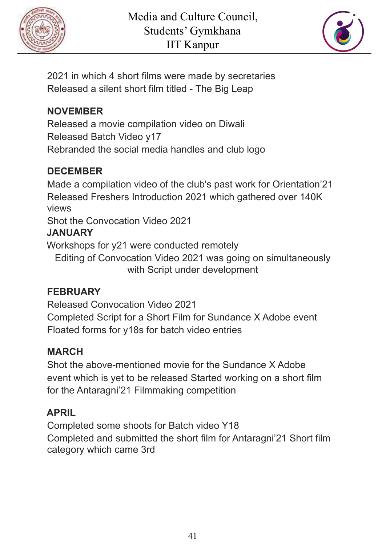



2021 in which 4 short films were made by secretaries Released a silent short film titled - The Big Leap

#### **NOVEMBER**

Released a movie compilation video on Diwali Released Batch Video y17 Rebranded the social media handles and club logo

#### **DECEMBER**

Made a compilation video of the club's past work for Orientation'21 Released Freshers Introduction 2021 which gathered over 140K views

Shot the Convocation Video 2021 **JANUARY**

Workshops for y21 were conducted remotely

Editing of Convocation Video 2021 was going on simultaneously with Script under development

## **FEBRUARY**

Released Convocation Video 2021 Completed Script for a Short Film for Sundance X Adobe event Floated forms for y18s for batch video entries

#### **MARCH**

Shot the above-mentioned movie for the Sundance X Adobe event which is yet to be released Started working on a short film for the Antaragni'21 Filmmaking competition

#### **APRIL**

Completed some shoots for Batch video Y18 Completed and submitted the short film for Antaragni'21 Short film category which came 3rd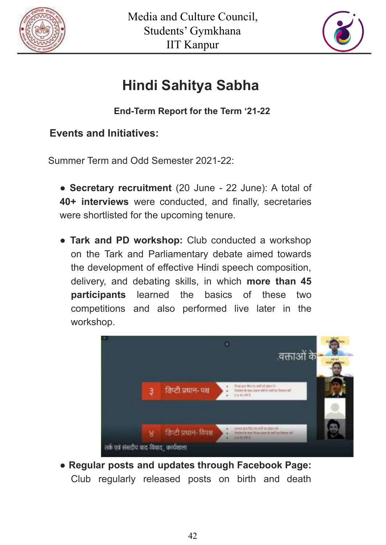



# **Hindi Sahitya Sabha**

**End-Term Report for the Term '21-22**

#### **Events and Initiatives:**

Summer Term and Odd Semester 2021-22:

- **Secretary recruitment** (20 June 22 June): A total of **40+ interviews** were conducted, and finally, secretaries were shortlisted for the upcoming tenure.
- **Tark and PD workshop:** Club conducted a workshop on the Tark and Parliamentary debate aimed towards the development of effective Hindi speech composition, delivery, and debating skills, in which **more than 45 participants** learned the basics of these two competitions and also performed live later in the workshop.



● **Regular posts and updates through Facebook Page:** Club regularly released posts on birth and death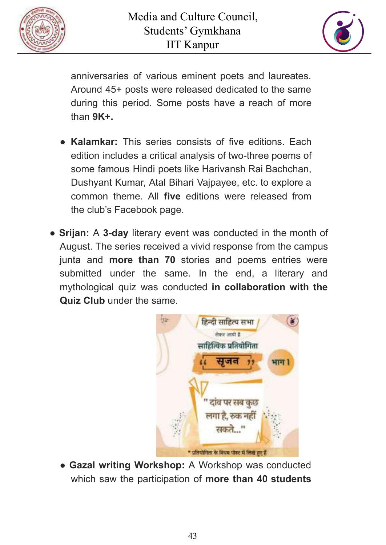



anniversaries of various eminent poets and laureates. Around 45+ posts were released dedicated to the same during this period. Some posts have a reach of more than **9K+.**

- **Kalamkar:** This series consists of five editions. Each edition includes a critical analysis of two-three poems of some famous Hindi poets like Harivansh Rai Bachchan, Dushyant Kumar, Atal Bihari Vajpayee, etc. to explore a common theme. All **five** editions were released from the club's Facebook page.
- **Srijan:** A **3-day** literary event was conducted in the month of August. The series received a vivid response from the campus junta and **more than 70** stories and poems entries were submitted under the same. In the end, a literary and mythological quiz was conducted **in collaboration with the Quiz Club** under the same.



● **Gazal writing Workshop:** A Workshop was conducted which saw the participation of **more than 40 students**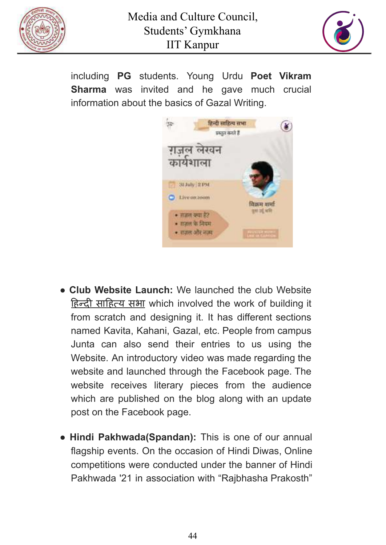



including **PG** students. Young Urdu **Poet Vikram Sharma** was invited and he gave much crucial information about the basics of Gazal Writing.



- **Club Website Launch:** We launched the club Website हिन्दी साहित्य सभा which involved the work of building it from scratch and designing it. It has different sections named Kavita, Kahani, Gazal, etc. People from campus Junta can also send their entries to us using the Website. An introductory video was made regarding the website and launched through the Facebook page. The website receives literary pieces from the audience which are published on the blog along with an update post on the Facebook page.
- **Hindi Pakhwada(Spandan):** This is one of our annual flagship events. On the occasion of Hindi Diwas, Online competitions were conducted under the banner of Hindi Pakhwada '21 in association with "Rajbhasha Prakosth"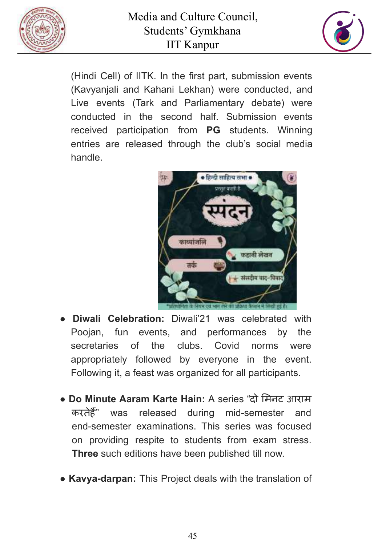



(Hindi Cell) of IITK. In the first part, submission events (Kavyanjali and Kahani Lekhan) were conducted, and Live events (Tark and Parliamentary debate) were conducted in the second half. Submission events received participation from **PG** students. Winning entries are released through the club's social media handle.



- **Diwali Celebration:** Diwali'21 was celebrated with Poojan, fun events, and performances by the secretaries of the clubs. Covid norms were appropriately followed by everyone in the event. Following it, a feast was organized for all participants.
- **Do Minute Aaram Karte Hain:** A series "दो मिनट आराम करतेहैं" was released during mid-semester and end-semester examinations. This series was focused on providing respite to students from exam stress. **Three** such editions have been published till now.
- **Kavya-darpan:** This Project deals with the translation of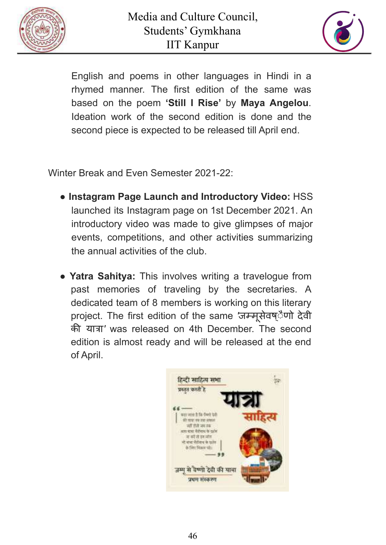



English and poems in other languages in Hindi in a rhymed manner. The first edition of the same was based on the poem **'Still I Rise'** by **Maya Angelou**. Ideation work of the second edition is done and the second piece is expected to be released till April end.

Winter Break and Even Semester 2021-22:

- **Instagram Page Launch and Introductory Video:** HSS launched its Instagram page on 1st December 2021. An introductory video was made to give glimpses of major events, competitions, and other activities summarizing the annual activities of the club.
- **Yatra Sahitya:** This involves writing a travelogue from past memories of traveling by the secretaries. A dedicated team of 8 members is working on this literary project. The first edition of the same *'*जम्मूसेवष्ैणो देवी की यात्रा*'* was released on 4th December. The second edition is almost ready and will be released at the end of April.

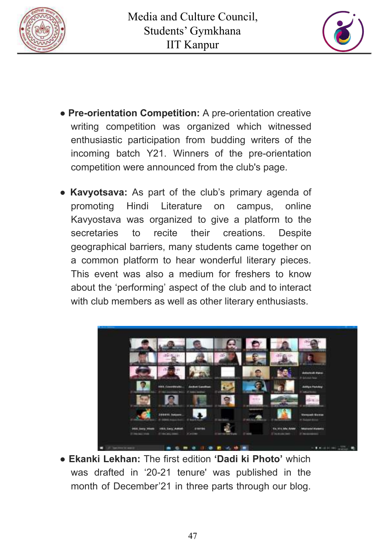



- **Pre-orientation Competition:** A pre-orientation creative writing competition was organized which witnessed enthusiastic participation from budding writers of the incoming batch Y21. Winners of the pre-orientation competition were announced from the club's page.
- **Kavyotsava:** As part of the club's primary agenda of promoting Hindi Literature on campus, online Kavyostava was organized to give a platform to the secretaries to recite their creations. Despite geographical barriers, many students came together on a common platform to hear wonderful literary pieces. This event was also a medium for freshers to know about the 'performing' aspect of the club and to interact with club members as well as other literary enthusiasts.



● **Ekanki Lekhan:** The first edition **'Dadi ki Photo'** which was drafted in '20-21 tenure' was published in the month of December'21 in three parts through our blog.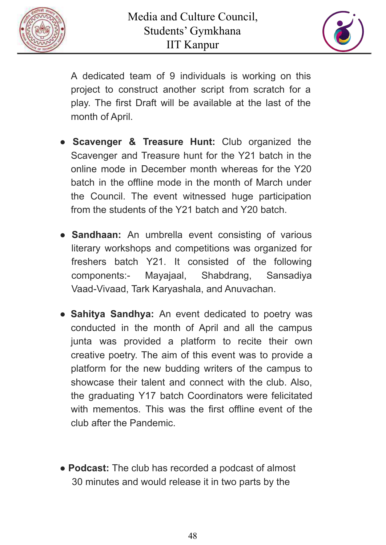



A dedicated team of 9 individuals is working on this project to construct another script from scratch for a play. The first Draft will be available at the last of the month of April.

- **Scavenger & Treasure Hunt:** Club organized the Scavenger and Treasure hunt for the Y21 batch in the online mode in December month whereas for the Y20 batch in the offline mode in the month of March under the Council. The event witnessed huge participation from the students of the Y21 batch and Y20 batch.
- **Sandhaan:** An umbrella event consisting of various literary workshops and competitions was organized for freshers batch Y21. It consisted of the following components:- Mayajaal, Shabdrang, Sansadiya Vaad-Vivaad, Tark Karyashala, and Anuvachan.
- **Sahitya Sandhya:** An event dedicated to poetry was conducted in the month of April and all the campus junta was provided a platform to recite their own creative poetry. The aim of this event was to provide a platform for the new budding writers of the campus to showcase their talent and connect with the club. Also, the graduating Y17 batch Coordinators were felicitated with mementos. This was the first offline event of the club after the Pandemic.
- **Podcast:** The club has recorded a podcast of almost 30 minutes and would release it in two parts by the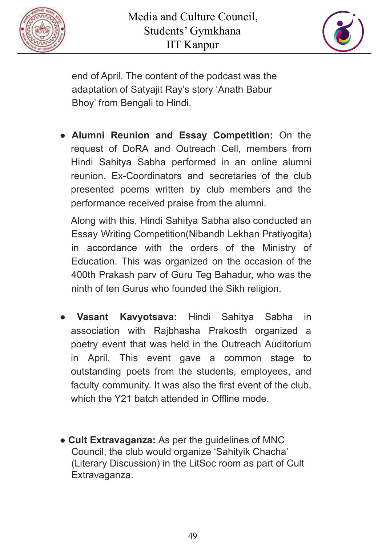



end of April. The content of the podcast was the adaptation of Satyajit Ray's story 'Anath Babur Bhoy' from Bengali to Hindi.

● **Alumni Reunion and Essay Competition:** On the request of DoRA and Outreach Cell, members from Hindi Sahitya Sabha performed in an online alumni reunion. Ex-Coordinators and secretaries of the club presented poems written by club members and the performance received praise from the alumni.

Along with this, Hindi Sahitya Sabha also conducted an Essay Writing Competition(Nibandh Lekhan Pratiyogita) in accordance with the orders of the Ministry of Education. This was organized on the occasion of the 400th Prakash parv of Guru Teg Bahadur, who was the ninth of ten Gurus who founded the Sikh religion.

- **Vasant Kavyotsava:** Hindi Sahitya Sabha in association with Rajbhasha Prakosth organized a poetry event that was held in the Outreach Auditorium in April. This event gave a common stage to outstanding poets from the students, employees, and faculty community. It was also the first event of the club, which the Y21 batch attended in Offline mode.
- **Cult Extravaganza:** As per the guidelines of MNC Council, the club would organize 'Sahityik Chacha' (Literary Discussion) in the LitSoc room as part of Cult Extravaganza.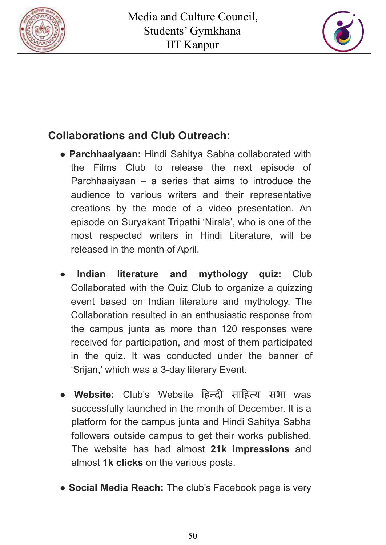



## **Collaborations and Club Outreach:**

- **Parchhaaiyaan:** Hindi Sahitya Sabha collaborated with the Films Club to release the next episode of Parchhaaiyaan – a series that aims to introduce the audience to various writers and their representative creations by the mode of a video presentation. An episode on Suryakant Tripathi 'Nirala', who is one of the most respected writers in Hindi Literature, will be released in the month of April.
- **Indian literature and mythology quiz:** Club Collaborated with the Quiz Club to organize a quizzing event based on Indian literature and mythology. The Collaboration resulted in an enthusiastic response from the campus junta as more than 120 responses were received for participation, and most of them participated in the quiz. It was conducted under the banner of 'Srijan,' which was a 3-day literary Event.
- **Website:** Club's Website हिन्दी साहित्य सभा was successfully launched in the month of December. It is a platform for the campus junta and Hindi Sahitya Sabha followers outside campus to get their works published. The website has had almost **21k impressions** and almost **1k clicks** on the various posts.
- **Social Media Reach:** The club's Facebook page is very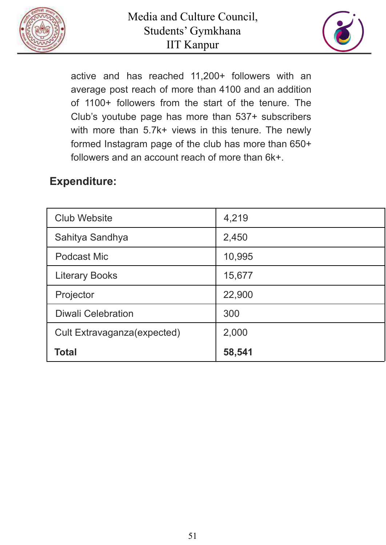



active and has reached 11,200+ followers with an average post reach of more than 4100 and an addition of 1100+ followers from the start of the tenure. The Club's youtube page has more than 537+ subscribers with more than 5.7k+ views in this tenure. The newly formed Instagram page of the club has more than 650+ followers and an account reach of more than 6k+.

### **Expenditure:**

| <b>Club Website</b>         | 4,219  |
|-----------------------------|--------|
| Sahitya Sandhya             | 2,450  |
| Podcast Mic                 | 10,995 |
| <b>Literary Books</b>       | 15,677 |
| Projector                   | 22,900 |
| <b>Diwali Celebration</b>   | 300    |
| Cult Extravaganza(expected) | 2,000  |
| <b>Total</b>                | 58,541 |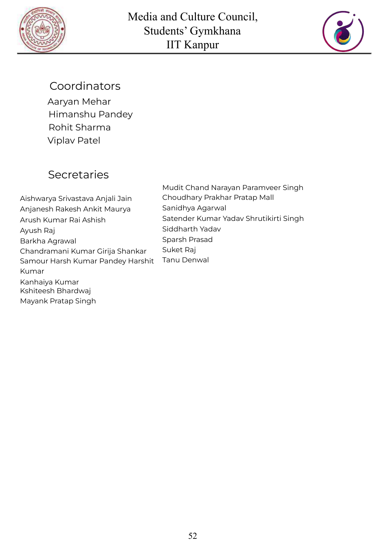



### Coordinators

Aaryan Mehar Himanshu Pandey Rohit Sharma Viplav Patel

## **Secretaries**

Aishwarya Srivastava Anjali Jain Anjanesh Rakesh Ankit Maurya Arush Kumar Rai Ashish Ayush Raj Barkha Agrawal Chandramani Kumar Girija Shankar Samour Harsh Kumar Pandey Harshit Kumar Kanhaiya Kumar Kshiteesh Bhardwaj Mayank Pratap Singh

Mudit Chand Narayan Paramveer Singh Choudhary Prakhar Pratap Mall Sanidhya Agarwal Satender Kumar Yadav Shrutikirti Singh Siddharth Yadav Sparsh Prasad Suket Raj Tanu Denwal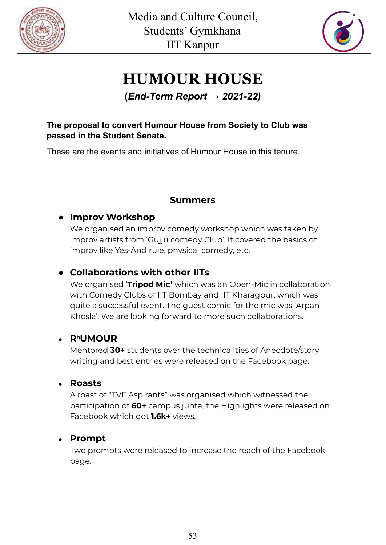



# **HUMOUR HOUSE**

#### **(***End-Term Report → 2021-22)*

#### **The proposal to convert Humour House from Society to Club was passed in the Student Senate.**

These are the events and initiatives of Humour House in this tenure.

#### **Summers**

#### **● Improv Workshop**

We organised an improv comedy workshop which was taken by improv artists from 'Gujju comedy Club'. It covered the basics of improv like Yes-And rule, physical comedy, etc.

#### **● Collaborations with other IITs**

We organised '**Tripod Mic'** which was an Open-Mic in collaboration with Comedy Clubs of IIT Bombay and IIT Kharagpur, which was quite a successful event. The guest comic for the mic was 'Arpan Khosla'. We are looking forward to more such collaborations.

#### ● **RʰUMOUR**

Mentored **30+** students over the technicalities of Anecdote/story writing and best entries were released on the Facebook page.

#### ● **Roasts**

A roast of "TVF Aspirants" was organised which witnessed the participation of **60+** campus junta, the Highlights were released on Facebook which got **1.6k+** views.

#### ● **Prompt**

Two prompts were released to increase the reach of the Facebook page.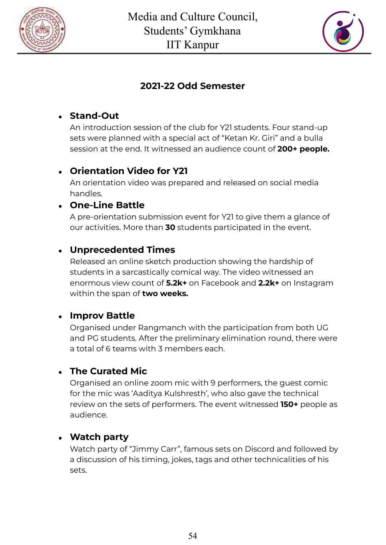



#### **2021-22 Odd Semester**

#### ● **Stand-Out**

An introduction session of the club for Y21 students. Four stand-up sets were planned with a special act of "Ketan Kr. Giri" and a bulla session at the end. It witnessed an audience count of **200+ people.**

#### ● **Orientation Video for Y21**

An orientation video was prepared and released on social media handles.

#### ● **One-Line Battle**

A pre-orientation submission event for Y21 to give them a glance of our activities. More than **30** students participated in the event.

#### ● **Unprecedented Times**

Released an online sketch production showing the hardship of students in a sarcastically comical way. The video witnessed an enormous view count of **5.2k+** on Facebook and **2.2k+** on Instagram within the span of **two weeks.**

#### ● **Improv Battle**

Organised under Rangmanch with the participation from both UG and PG students. After the preliminary elimination round, there were a total of 6 teams with 3 members each.

#### ● **The Curated Mic**

Organised an online zoom mic with 9 performers, the guest comic for the mic was 'Aaditya Kulshresth', who also gave the technical review on the sets of performers. The event witnessed **150+** people as audience.

#### ● **Watch party**

Watch party of "Jimmy Carr", famous sets on Discord and followed by a discussion of his timing, jokes, tags and other technicalities of his sets.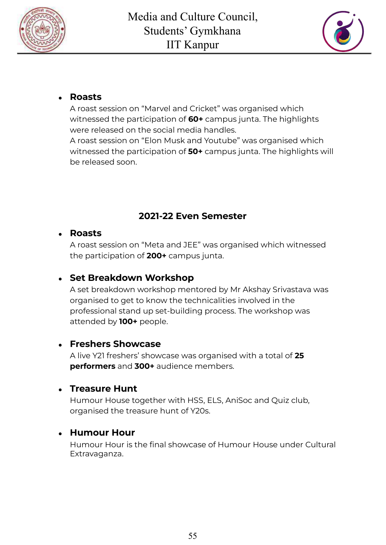



#### ● **Roasts**

A roast session on "Marvel and Cricket" was organised which witnessed the participation of **60+** campus junta. The highlights were released on the social media handles.

A roast session on "Elon Musk and Youtube" was organised which witnessed the participation of **50+** campus junta. The highlights will be released soon.

#### **2021-22 Even Semester**

#### ● **Roasts**

A roast session on "Meta and JEE" was organised which witnessed the participation of **200+** campus junta.

#### ● **Set Breakdown Workshop**

A set breakdown workshop mentored by Mr Akshay Srivastava was organised to get to know the technicalities involved in the professional stand up set-building process. The workshop was attended by **100+** people.

#### ● **Freshers Showcase**

A live Y21 freshers' showcase was organised with a total of **25 performers** and **300+** audience members.

#### ● **Treasure Hunt**

Humour House together with HSS, ELS, AniSoc and Quiz club, organised the treasure hunt of Y20s.

#### ● **Humour Hour**

Humour Hour is the final showcase of Humour House under Cultural Extravaganza.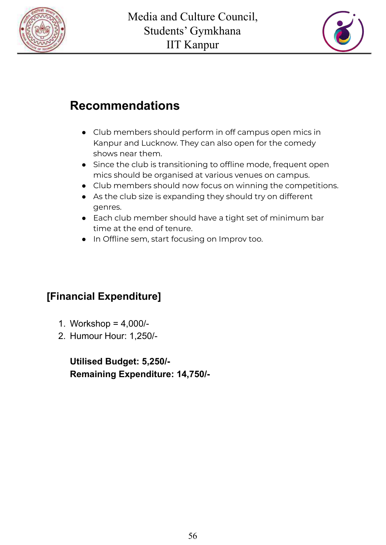



# **Recommendations**

- Club members should perform in off campus open mics in Kanpur and Lucknow. They can also open for the comedy shows near them.
- Since the club is transitioning to offline mode, frequent open mics should be organised at various venues on campus.
- Club members should now focus on winning the competitions.
- As the club size is expanding they should try on different genres.
- Each club member should have a tight set of minimum bar time at the end of tenure.
- In Offline sem, start focusing on Improv too.

#### **[Financial Expenditure]**

- 1. Workshop = 4,000/-
- 2. Humour Hour: 1,250/-

**Utilised Budget: 5,250/- Remaining Expenditure: 14,750/-**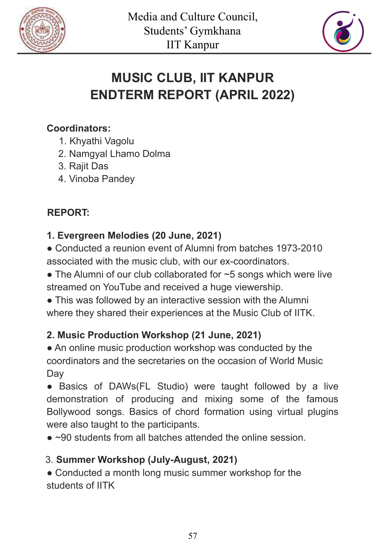



# **MUSIC CLUB, IIT KANPUR ENDTERM REPORT (APRIL 2022)**

#### **Coordinators:**

- 1. Khyathi Vagolu
- 2. Namgyal Lhamo Dolma
- 3. Rajit Das
- 4. Vinoba Pandey

#### **REPORT:**

#### **1. Evergreen Melodies (20 June, 2021)**

• Conducted a reunion event of Alumni from batches 1973-2010 associated with the music club, with our ex-coordinators.

 $\bullet$  The Alumni of our club collaborated for  $\sim$  5 songs which were live streamed on YouTube and received a huge viewership.

• This was followed by an interactive session with the Alumni where they shared their experiences at the Music Club of IITK.

#### **2. Music Production Workshop (21 June, 2021)**

• An online music production workshop was conducted by the coordinators and the secretaries on the occasion of World Music **Day** 

• Basics of DAWs(FL Studio) were taught followed by a live demonstration of producing and mixing some of the famous Bollywood songs. Basics of chord formation using virtual plugins were also taught to the participants.

 $\bullet$  ~90 students from all batches attended the online session.

#### 3. **Summer Workshop (July-August, 2021)**

• Conducted a month long music summer workshop for the students of IITK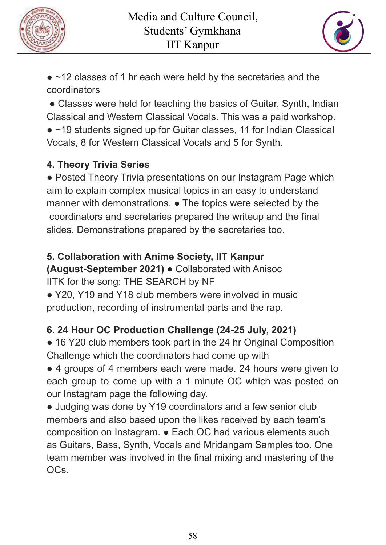



• ~12 classes of 1 hr each were held by the secretaries and the coordinators

• Classes were held for teaching the basics of Guitar, Synth, Indian Classical and Western Classical Vocals. This was a paid workshop.

• ~19 students signed up for Guitar classes, 11 for Indian Classical Vocals, 8 for Western Classical Vocals and 5 for Synth.

#### **4. Theory Trivia Series**

• Posted Theory Trivia presentations on our Instagram Page which aim to explain complex musical topics in an easy to understand manner with demonstrations. ● The topics were selected by the coordinators and secretaries prepared the writeup and the final slides. Demonstrations prepared by the secretaries too.

#### **5. Collaboration with Anime Society, IIT Kanpur**

**(August-September 2021)** ● Collaborated with Anisoc IITK for the song: THE SEARCH by NF

● Y20, Y19 and Y18 club members were involved in music production, recording of instrumental parts and the rap.

#### **6. 24 Hour OC Production Challenge (24-25 July, 2021)**

• 16 Y20 club members took part in the 24 hr Original Composition Challenge which the coordinators had come up with

● 4 groups of 4 members each were made. 24 hours were given to each group to come up with a 1 minute OC which was posted on our Instagram page the following day.

• Judging was done by Y19 coordinators and a few senior club members and also based upon the likes received by each team's composition on Instagram. ● Each OC had various elements such as Guitars, Bass, Synth, Vocals and Mridangam Samples too. One team member was involved in the final mixing and mastering of the OCs.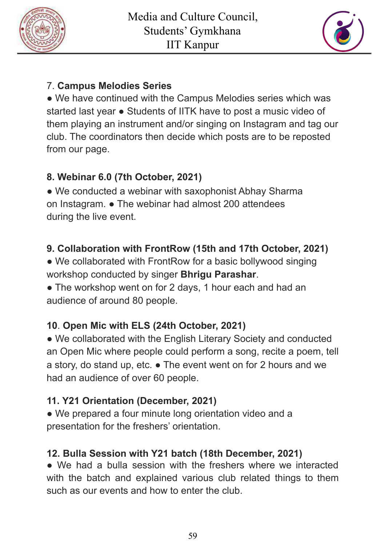



#### 7. **Campus Melodies Series**

• We have continued with the Campus Melodies series which was started last year ● Students of IITK have to post a music video of them playing an instrument and/or singing on Instagram and tag our club. The coordinators then decide which posts are to be reposted from our page.

#### **8. Webinar 6.0 (7th October, 2021)**

• We conducted a webinar with saxophonist Abhay Sharma on Instagram. ● The webinar had almost 200 attendees during the live event.

#### **9. Collaboration with FrontRow (15th and 17th October, 2021)**

• We collaborated with FrontRow for a basic bollywood singing workshop conducted by singer **Bhrigu Parashar**.

• The workshop went on for 2 days, 1 hour each and had an audience of around 80 people.

#### **10**. **Open Mic with ELS (24th October, 2021)**

• We collaborated with the English Literary Society and conducted an Open Mic where people could perform a song, recite a poem, tell a story, do stand up, etc. ● The event went on for 2 hours and we had an audience of over 60 people.

#### **11. Y21 Orientation (December, 2021)**

• We prepared a four minute long orientation video and a presentation for the freshers' orientation.

#### **12. Bulla Session with Y21 batch (18th December, 2021)**

● We had a bulla session with the freshers where we interacted with the batch and explained various club related things to them such as our events and how to enter the club.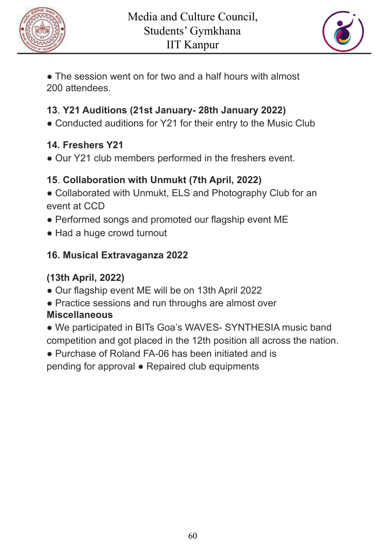



• The session went on for two and a half hours with almost 200 attendees.

#### **13**. **Y21 Auditions (21st January- 28th January 2022)**

• Conducted auditions for Y21 for their entry to the Music Club

#### **14. Freshers Y21**

● Our Y21 club members performed in the freshers event.

#### **15**. **Collaboration with Unmukt (7th April, 2022)**

- Collaborated with Unmukt, ELS and Photography Club for an event at CCD
- Performed songs and promoted our flagship event ME
- Had a huge crowd turnout

#### **16. Musical Extravaganza 2022**

## **(13th April, 2022)**

- Our flagship event ME will be on 13th April 2022
- Practice sessions and run throughs are almost over **Miscellaneous**
- We participated in BITs Goa's WAVES- SYNTHESIA music band competition and got placed in the 12th position all across the nation.
- Purchase of Roland FA-06 has been initiated and is pending for approval ● Repaired club equipments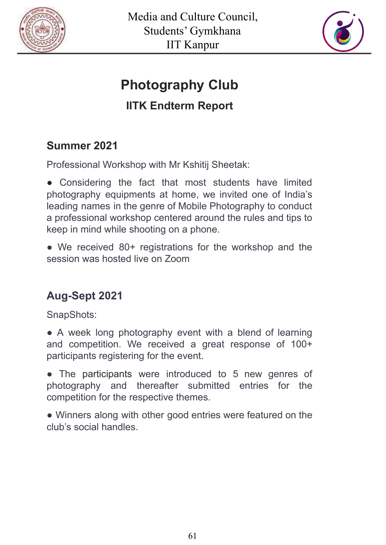



# **Photography Club**

# **IITK Endterm Report**

## **Summer 2021**

Professional Workshop with Mr Kshitij Sheetak:

**●** Considering the fact that most students have limited photography equipments at home, we invited one of India's leading names in the genre of Mobile Photography to conduct a professional workshop centered around the rules and tips to keep in mind while shooting on a phone.

• We received 80+ registrations for the workshop and the session was hosted live on Zoom

## **Aug-Sept 2021**

SnapShots:

• A week long photography event with a blend of learning and competition. We received a great response of 100+ participants registering for the event.

• The participants were introduced to 5 new genres of photography and thereafter submitted entries for the competition for the respective themes.

• Winners along with other good entries were featured on the club's social handles.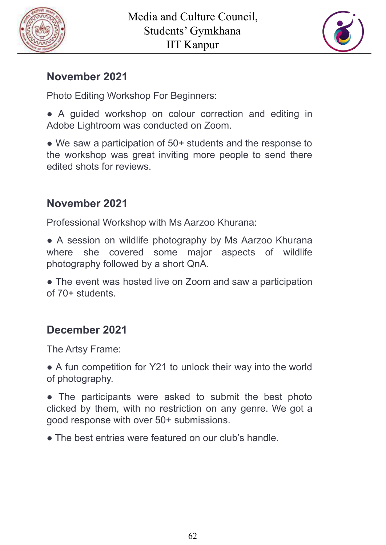



## **November 2021**

Photo Editing Workshop For Beginners:

**●** A guided workshop on colour correction and editing in Adobe Lightroom was conducted on Zoom.

• We saw a participation of 50+ students and the response to the workshop was great inviting more people to send there edited shots for reviews.

### **November 2021**

Professional Workshop with Ms Aarzoo Khurana:

**●** A session on wildlife photography by Ms Aarzoo Khurana where she covered some major aspects of wildlife photography followed by a short QnA.

• The event was hosted live on Zoom and saw a participation of 70+ students.

## **December 2021**

The Artsy Frame:

• A fun competition for Y21 to unlock their way into the world of photography.

• The participants were asked to submit the best photo clicked by them, with no restriction on any genre. We got a good response with over 50+ submissions.

● The best entries were featured on our club's handle.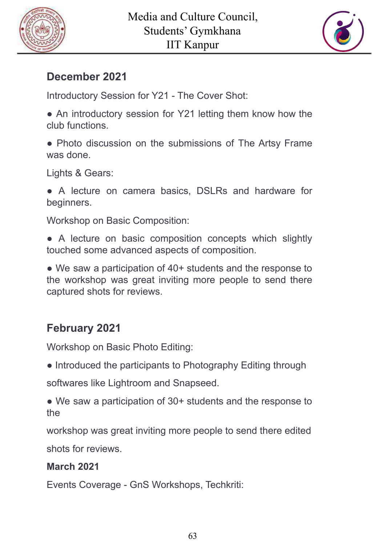



### **December 2021**

Introductory Session for Y21 - The Cover Shot:

**●** An introductory session for Y21 letting them know how the club functions.

• Photo discussion on the submissions of The Artsy Frame was done.

Lights & Gears:

● A lecture on camera basics, DSLRs and hardware for beginners.

Workshop on Basic Composition:

• A lecture on basic composition concepts which slightly touched some advanced aspects of composition.

• We saw a participation of 40+ students and the response to the workshop was great inviting more people to send there captured shots for reviews.

## **February 2021**

Workshop on Basic Photo Editing:

**●** Introduced the participants to Photography Editing through

softwares like Lightroom and Snapseed.

• We saw a participation of 30+ students and the response to the

workshop was great inviting more people to send there edited shots for reviews.

#### **March 2021**

Events Coverage - GnS Workshops, Techkriti: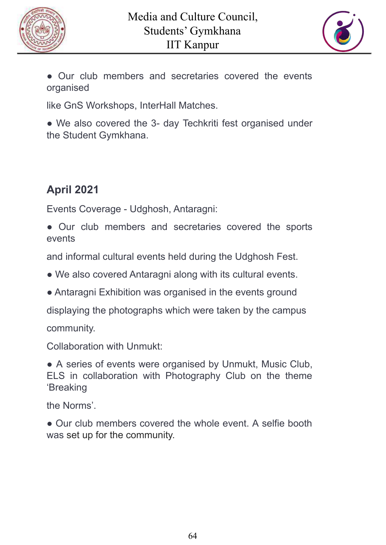



● Our club members and secretaries covered the events organised

like GnS Workshops, InterHall Matches.

• We also covered the 3- day Techkriti fest organised under the Student Gymkhana.

# **April 2021**

Events Coverage - Udghosh, Antaragni:

**●** Our club members and secretaries covered the sports events

and informal cultural events held during the Udghosh Fest.

- We also covered Antaragni along with its cultural events.
- Antaragni Exhibition was organised in the events ground

displaying the photographs which were taken by the campus

community.

Collaboration with Unmukt:

• A series of events were organised by Unmukt, Music Club, ELS in collaboration with Photography Club on the theme 'Breaking

the Norms'.

● Our club members covered the whole event. A selfie booth was set up for the community.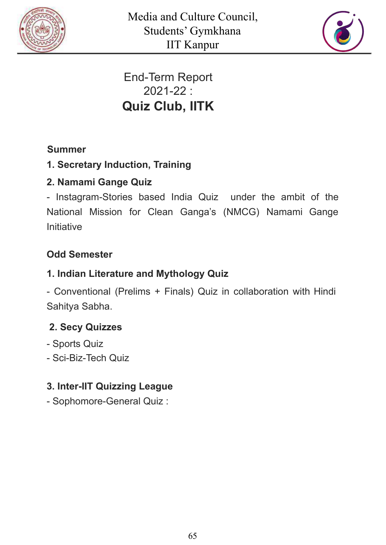



# End-Term Report 2021-22 : **Quiz Club, IITK**

#### **Summer**

#### **1. Secretary Induction, Training**

#### **2. Namami Gange Quiz**

- Instagram-Stories based India Quiz under the ambit of the National Mission for Clean Ganga's (NMCG) Namami Gange **Initiative** 

#### **Odd Semester**

#### **1. Indian Literature and Mythology Quiz**

- Conventional (Prelims + Finals) Quiz in collaboration with Hindi Sahitya Sabha.

#### **2. Secy Quizzes**

- Sports Quiz
- Sci-Biz-Tech Quiz

#### **3. Inter-IIT Quizzing League**

- Sophomore-General Quiz :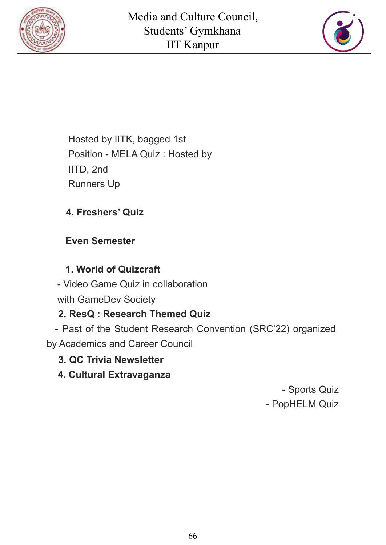



Hosted by IITK, bagged 1st Position - MELA Quiz : Hosted by IITD, 2nd Runners Up

#### **4. Freshers' Quiz**

#### **Even Semester**

#### **1. World of Quizcraft**

- Video Game Quiz in collaboration with GameDev Society

#### **2. ResQ : Research Themed Quiz**

- Past of the Student Research Convention (SRC'22) organized by Academics and Career Council

#### **3. QC Trivia Newsletter**

#### **4. Cultural Extravaganza**

- Sports Quiz - PopHELM Quiz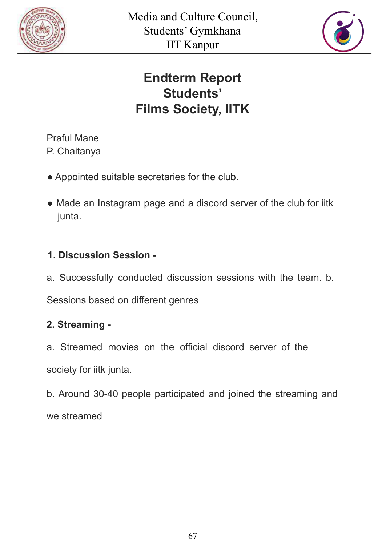



# **Endterm Report Students' Films Society, IITK**

Praful Mane P. Chaitanya

- Appointed suitable secretaries for the club.
- Made an Instagram page and a discord server of the club for iitk junta.

#### **1. Discussion Session -**

a. Successfully conducted discussion sessions with the team. b.

Sessions based on different genres

#### **2. Streaming -**

a. Streamed movies on the official discord server of the society for iitk junta.

b. Around 30-40 people participated and joined the streaming and we streamed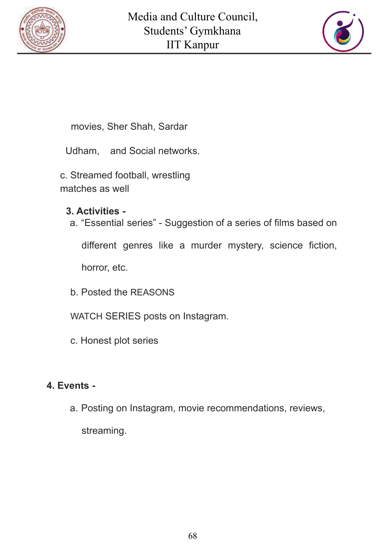



movies, Sher Shah, Sardar

Udham, and Social networks.

c. Streamed football, wrestling matches as well

#### **3. Activities -**

a. "Essential series" - Suggestion of a series of films based on

different genres like a murder mystery, science fiction,

horror, etc.

- b. Posted the REASONS
- WATCH SERIES posts on Instagram.
- c. Honest plot series

#### **4. Events -**

a. Posting on Instagram, movie recommendations, reviews, streaming.